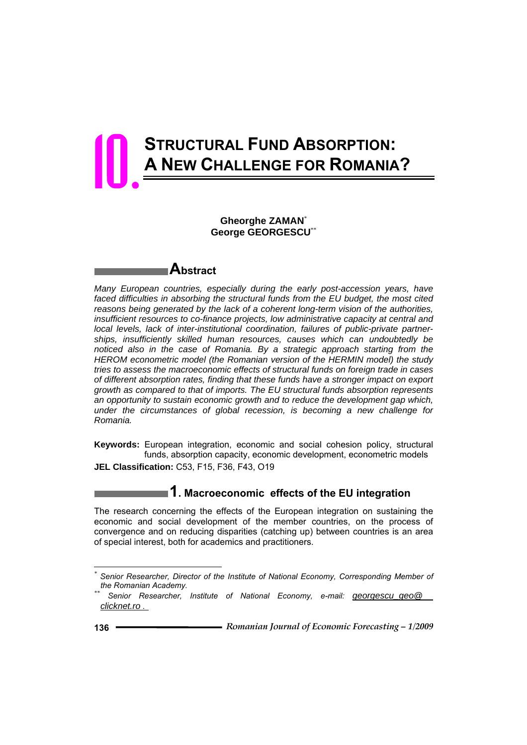# **STRUCTURAL FUND ABSORPTION: A NEW CHALLENGE FOR ROMANIA?**  10.

#### **Gheorghe ZAMAN**\*  **George GEORGESCU**\*\*

# **Abstract**

*Many European countries, especially during the early post-accession years, have*  faced difficulties in absorbing the structural funds from the EU budget, the most cited *reasons being generated by the lack of a coherent long-term vision of the authorities, insufficient resources to co-finance projects, low administrative capacity at central and local levels, lack of inter-institutional coordination, failures of public-private partnerships, insufficiently skilled human resources, causes which can undoubtedly be noticed also in the case of Romania. By a strategic approach starting from the HEROM econometric model (the Romanian version of the HERMIN model) the study tries to assess the macroeconomic effects of structural funds on foreign trade in cases of different absorption rates, finding that these funds have a stronger impact on export growth as compared to that of imports. The EU structural funds absorption represents an opportunity to sustain economic growth and to reduce the development gap which, under the circumstances of global recession, is becoming a new challenge for Romania.* 

**Keywords:** European integration, economic and social cohesion policy, structural funds, absorption capacity, economic development, econometric models **JEL Classification:** C53, F15, F36, F43, O19

**1. Macroeconomic effects of the EU integration** 

The research concerning the effects of the European integration on sustaining the economic and social development of the member countries, on the process of convergence and on reducing disparities (catching up) between countries is an area of special interest, both for academics and practitioners.

l

*<sup>\*</sup> Senior Researcher, Director of the Institute of National Economy, Corresponding Member of the Romanian Academy. \*\* Senior Researcher, Institute of National Economy, e-mail: georgescu\_geo@* 

*clicknet.ro .*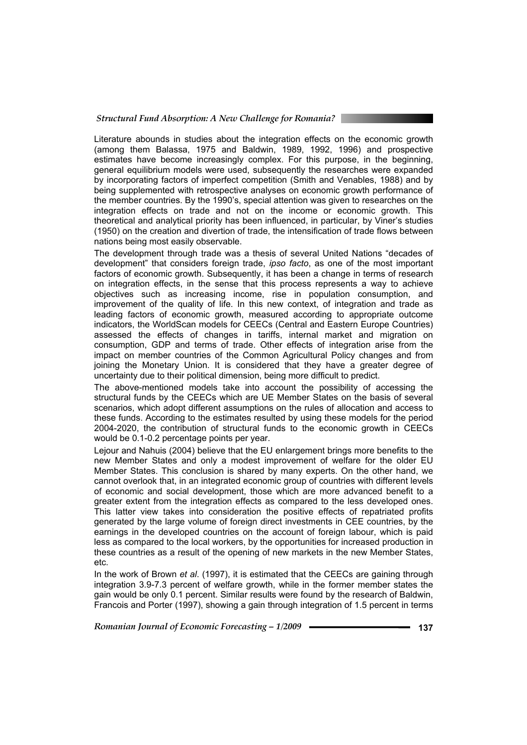Literature abounds in studies about the integration effects on the economic growth (among them Balassa, 1975 and Baldwin, 1989, 1992, 1996) and prospective estimates have become increasingly complex. For this purpose, in the beginning, general equilibrium models were used, subsequently the researches were expanded by incorporating factors of imperfect competition (Smith and Venables, 1988) and by being supplemented with retrospective analyses on economic growth performance of the member countries. By the 1990's, special attention was given to researches on the integration effects on trade and not on the income or economic growth. This theoretical and analytical priority has been influenced, in particular, by Viner's studies (1950) on the creation and divertion of trade, the intensification of trade flows between nations being most easily observable.

The development through trade was a thesis of several United Nations "decades of development" that considers foreign trade, *ipso facto*, as one of the most important factors of economic growth. Subsequently, it has been a change in terms of research on integration effects, in the sense that this process represents a way to achieve objectives such as increasing income, rise in population consumption, and improvement of the quality of life. In this new context, of integration and trade as leading factors of economic growth, measured according to appropriate outcome indicators, the WorldScan models for CEECs (Central and Eastern Europe Countries) assessed the effects of changes in tariffs, internal market and migration on consumption, GDP and terms of trade. Other effects of integration arise from the impact on member countries of the Common Agricultural Policy changes and from joining the Monetary Union. It is considered that they have a greater degree of uncertainty due to their political dimension, being more difficult to predict.

The above-mentioned models take into account the possibility of accessing the structural funds by the CEECs which are UE Member States on the basis of several scenarios, which adopt different assumptions on the rules of allocation and access to these funds. According to the estimates resulted by using these models for the period 2004-2020, the contribution of structural funds to the economic growth in CEECs would be 0.1-0.2 percentage points per year.

Lejour and Nahuis (2004) believe that the EU enlargement brings more benefits to the new Member States and only a modest improvement of welfare for the older EU Member States. This conclusion is shared by many experts. On the other hand, we cannot overlook that, in an integrated economic group of countries with different levels of economic and social development, those which are more advanced benefit to a greater extent from the integration effects as compared to the less developed ones. This latter view takes into consideration the positive effects of repatriated profits generated by the large volume of foreign direct investments in CEE countries, by the earnings in the developed countries on the account of foreign labour, which is paid less as compared to the local workers, by the opportunities for increased production in these countries as a result of the opening of new markets in the new Member States, etc.

In the work of Brown *et al*. (1997), it is estimated that the CEECs are gaining through integration 3.9-7.3 percent of welfare growth, while in the former member states the gain would be only 0.1 percent. Similar results were found by the research of Baldwin, Francois and Porter (1997), showing a gain through integration of 1.5 percent in terms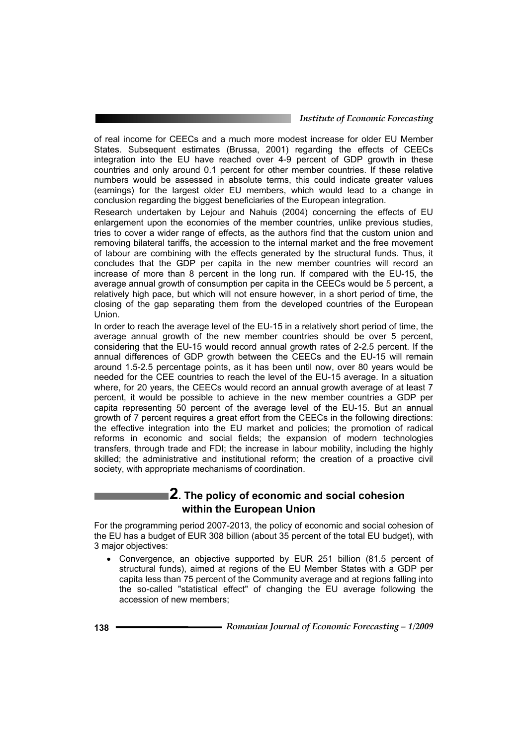#### *Institute of Economic Forecasting*

of real income for CEECs and a much more modest increase for older EU Member States. Subsequent estimates (Brussa, 2001) regarding the effects of CEECs integration into the EU have reached over 4-9 percent of GDP growth in these countries and only around 0.1 percent for other member countries. If these relative numbers would be assessed in absolute terms, this could indicate greater values (earnings) for the largest older EU members, which would lead to a change in conclusion regarding the biggest beneficiaries of the European integration.

Research undertaken by Lejour and Nahuis (2004) concerning the effects of EU enlargement upon the economies of the member countries, unlike previous studies, tries to cover a wider range of effects, as the authors find that the custom union and removing bilateral tariffs, the accession to the internal market and the free movement of labour are combining with the effects generated by the structural funds. Thus, it concludes that the GDP per capita in the new member countries will record an increase of more than 8 percent in the long run. If compared with the EU-15, the average annual growth of consumption per capita in the CEECs would be 5 percent, a relatively high pace, but which will not ensure however, in a short period of time, the closing of the gap separating them from the developed countries of the European Union.

In order to reach the average level of the EU-15 in a relatively short period of time, the average annual growth of the new member countries should be over 5 percent, considering that the EU-15 would record annual growth rates of 2-2.5 percent. If the annual differences of GDP growth between the CEECs and the EU-15 will remain around 1.5-2.5 percentage points, as it has been until now, over 80 years would be needed for the CEE countries to reach the level of the EU-15 average. In a situation where, for 20 years, the CEECs would record an annual growth average of at least 7 percent, it would be possible to achieve in the new member countries a GDP per capita representing 50 percent of the average level of the EU-15. But an annual growth of 7 percent requires a great effort from the CEECs in the following directions: the effective integration into the EU market and policies; the promotion of radical reforms in economic and social fields; the expansion of modern technologies transfers, through trade and FDI; the increase in labour mobility, including the highly skilled; the administrative and institutional reform; the creation of a proactive civil society, with appropriate mechanisms of coordination.

## **2. The policy of economic and social cohesion within the European Union**

For the programming period 2007-2013, the policy of economic and social cohesion of the EU has a budget of EUR 308 billion (about 35 percent of the total EU budget), with 3 major objectives:

• Convergence, an objective supported by EUR 251 billion (81.5 percent of structural funds), aimed at regions of the EU Member States with a GDP per capita less than 75 percent of the Community average and at regions falling into the so-called "statistical effect" of changing the EU average following the accession of new members;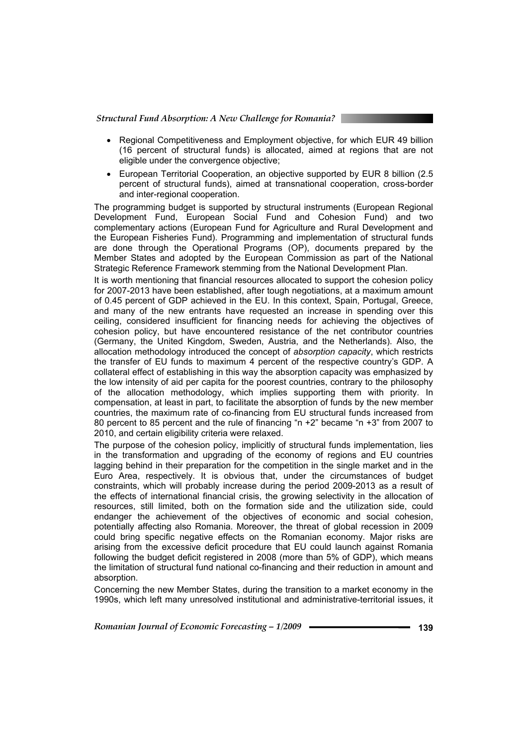- Regional Competitiveness and Employment objective, for which EUR 49 billion (16 percent of structural funds) is allocated, aimed at regions that are not eligible under the convergence objective;
- European Territorial Cooperation, an objective supported by EUR 8 billion (2.5 percent of structural funds), aimed at transnational cooperation, cross-border and inter-regional cooperation.

The programming budget is supported by structural instruments (European Regional Development Fund, European Social Fund and Cohesion Fund) and two complementary actions (European Fund for Agriculture and Rural Development and the European Fisheries Fund). Programming and implementation of structural funds are done through the Operational Programs (OP), documents prepared by the Member States and adopted by the European Commission as part of the National Strategic Reference Framework stemming from the National Development Plan.

It is worth mentioning that financial resources allocated to support the cohesion policy for 2007-2013 have been established, after tough negotiations, at a maximum amount of 0.45 percent of GDP achieved in the EU. In this context, Spain, Portugal, Greece, and many of the new entrants have requested an increase in spending over this ceiling, considered insufficient for financing needs for achieving the objectives of cohesion policy, but have encountered resistance of the net contributor countries (Germany, the United Kingdom, Sweden, Austria, and the Netherlands). Also, the allocation methodology introduced the concept of *absorption capacity*, which restricts the transfer of EU funds to maximum 4 percent of the respective country's GDP. A collateral effect of establishing in this way the absorption capacity was emphasized by the low intensity of aid per capita for the poorest countries, contrary to the philosophy of the allocation methodology, which implies supporting them with priority. In compensation, at least in part, to facilitate the absorption of funds by the new member countries, the maximum rate of co-financing from EU structural funds increased from 80 percent to 85 percent and the rule of financing "n +2" became "n +3" from 2007 to 2010, and certain eligibility criteria were relaxed.

The purpose of the cohesion policy, implicitly of structural funds implementation, lies in the transformation and upgrading of the economy of regions and EU countries lagging behind in their preparation for the competition in the single market and in the Euro Area, respectively. It is obvious that, under the circumstances of budget constraints, which will probably increase during the period 2009-2013 as a result of the effects of international financial crisis, the growing selectivity in the allocation of resources, still limited, both on the formation side and the utilization side, could endanger the achievement of the objectives of economic and social cohesion, potentially affecting also Romania. Moreover, the threat of global recession in 2009 could bring specific negative effects on the Romanian economy. Major risks are arising from the excessive deficit procedure that EU could launch against Romania following the budget deficit registered in 2008 (more than 5% of GDP), which means the limitation of structural fund national co-financing and their reduction in amount and absorption.

Concerning the new Member States, during the transition to a market economy in the 1990s, which left many unresolved institutional and administrative-territorial issues, it

*Romanian Journal of Economic Forecasting – 1/2009* **- • • • • • • • • • • 139 139**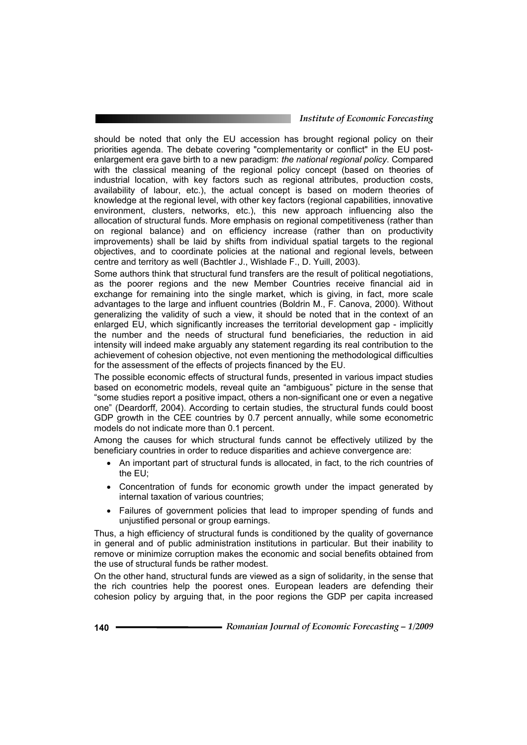#### *Institute of Economic Forecasting*

should be noted that only the EU accession has brought regional policy on their priorities agenda. The debate covering "complementarity or conflict" in the EU postenlargement era gave birth to a new paradigm: *the national regional policy*. Compared with the classical meaning of the regional policy concept (based on theories of industrial location, with key factors such as regional attributes, production costs, availability of labour, etc.), the actual concept is based on modern theories of knowledge at the regional level, with other key factors (regional capabilities, innovative environment, clusters, networks, etc.), this new approach influencing also the allocation of structural funds. More emphasis on regional competitiveness (rather than on regional balance) and on efficiency increase (rather than on productivity improvements) shall be laid by shifts from individual spatial targets to the regional objectives, and to coordinate policies at the national and regional levels, between centre and territory as well (Bachtler J., Wishlade F., D. Yuill, 2003).

Some authors think that structural fund transfers are the result of political negotiations, as the poorer regions and the new Member Countries receive financial aid in exchange for remaining into the single market, which is giving, in fact, more scale advantages to the large and influent countries (Boldrin M., F. Canova, 2000). Without generalizing the validity of such a view, it should be noted that in the context of an enlarged EU, which significantly increases the territorial development gap - implicitly the number and the needs of structural fund beneficiaries, the reduction in aid intensity will indeed make arguably any statement regarding its real contribution to the achievement of cohesion objective, not even mentioning the methodological difficulties for the assessment of the effects of projects financed by the EU.

The possible economic effects of structural funds, presented in various impact studies based on econometric models, reveal quite an "ambiguous" picture in the sense that "some studies report a positive impact, others a non-significant one or even a negative one" (Deardorff, 2004). According to certain studies, the structural funds could boost GDP growth in the CEE countries by 0.7 percent annually, while some econometric models do not indicate more than 0.1 percent.

Among the causes for which structural funds cannot be effectively utilized by the beneficiary countries in order to reduce disparities and achieve convergence are:

- An important part of structural funds is allocated, in fact, to the rich countries of the EU;
- Concentration of funds for economic growth under the impact generated by internal taxation of various countries;
- Failures of government policies that lead to improper spending of funds and unjustified personal or group earnings.

Thus, a high efficiency of structural funds is conditioned by the quality of governance in general and of public administration institutions in particular. But their inability to remove or minimize corruption makes the economic and social benefits obtained from the use of structural funds be rather modest.

On the other hand, structural funds are viewed as a sign of solidarity, in the sense that the rich countries help the poorest ones. European leaders are defending their cohesion policy by arguing that, in the poor regions the GDP per capita increased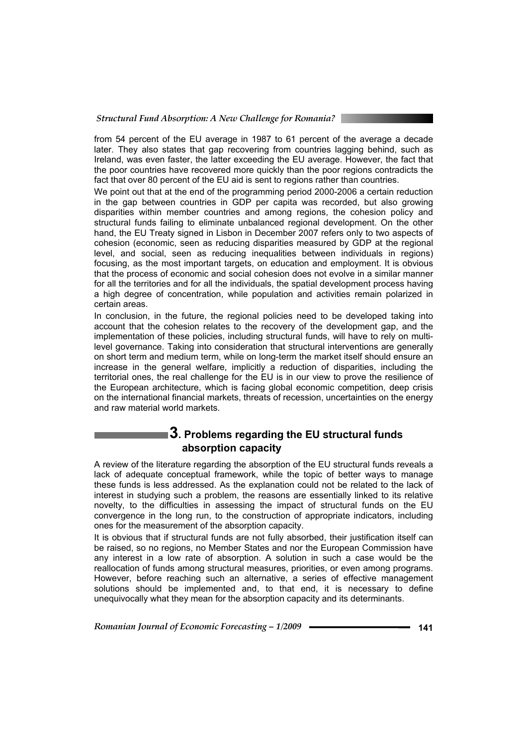from 54 percent of the EU average in 1987 to 61 percent of the average a decade later. They also states that gap recovering from countries lagging behind, such as Ireland, was even faster, the latter exceeding the EU average. However, the fact that the poor countries have recovered more quickly than the poor regions contradicts the fact that over 80 percent of the EU aid is sent to regions rather than countries.

We point out that at the end of the programming period 2000-2006 a certain reduction in the gap between countries in GDP per capita was recorded, but also growing disparities within member countries and among regions, the cohesion policy and structural funds failing to eliminate unbalanced regional development. On the other hand, the EU Treaty signed in Lisbon in December 2007 refers only to two aspects of cohesion (economic, seen as reducing disparities measured by GDP at the regional level, and social, seen as reducing inequalities between individuals in regions) focusing, as the most important targets, on education and employment. It is obvious that the process of economic and social cohesion does not evolve in a similar manner for all the territories and for all the individuals, the spatial development process having a high degree of concentration, while population and activities remain polarized in certain areas.

In conclusion, in the future, the regional policies need to be developed taking into account that the cohesion relates to the recovery of the development gap, and the implementation of these policies, including structural funds, will have to rely on multilevel governance. Taking into consideration that structural interventions are generally on short term and medium term, while on long-term the market itself should ensure an increase in the general welfare, implicitly a reduction of disparities, including the territorial ones, the real challenge for the EU is in our view to prove the resilience of the European architecture, which is facing global economic competition, deep crisis on the international financial markets, threats of recession, uncertainties on the energy and raw material world markets.

# **3. Problems regarding the EU structural funds absorption capacity**

A review of the literature regarding the absorption of the EU structural funds reveals a lack of adequate conceptual framework, while the topic of better ways to manage these funds is less addressed. As the explanation could not be related to the lack of interest in studying such a problem, the reasons are essentially linked to its relative novelty, to the difficulties in assessing the impact of structural funds on the EU convergence in the long run, to the construction of appropriate indicators, including ones for the measurement of the absorption capacity.

It is obvious that if structural funds are not fully absorbed, their justification itself can be raised, so no regions, no Member States and nor the European Commission have any interest in a low rate of absorption. A solution in such a case would be the reallocation of funds among structural measures, priorities, or even among programs. However, before reaching such an alternative, a series of effective management solutions should be implemented and, to that end, it is necessary to define unequivocally what they mean for the absorption capacity and its determinants.

*Romanian Journal of Economic Forecasting – 1/2009* **- • • • • • • • • • • • 141**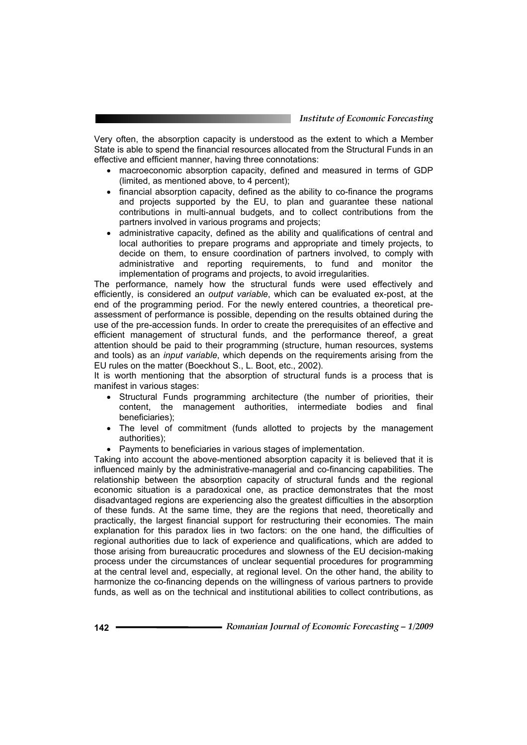Very often, the absorption capacity is understood as the extent to which a Member State is able to spend the financial resources allocated from the Structural Funds in an effective and efficient manner, having three connotations:

- macroeconomic absorption capacity, defined and measured in terms of GDP (limited, as mentioned above, to 4 percent);
- financial absorption capacity, defined as the ability to co-finance the programs and projects supported by the EU, to plan and guarantee these national contributions in multi-annual budgets, and to collect contributions from the partners involved in various programs and projects;
- administrative capacity, defined as the ability and qualifications of central and local authorities to prepare programs and appropriate and timely projects, to decide on them, to ensure coordination of partners involved, to comply with administrative and reporting requirements, to fund and monitor the implementation of programs and projects, to avoid irregularities.

The performance, namely how the structural funds were used effectively and efficiently, is considered an *output variable*, which can be evaluated ex-post, at the end of the programming period. For the newly entered countries, a theoretical preassessment of performance is possible, depending on the results obtained during the use of the pre-accession funds. In order to create the prerequisites of an effective and efficient management of structural funds, and the performance thereof, a great attention should be paid to their programming (structure, human resources, systems and tools) as an *input variable*, which depends on the requirements arising from the EU rules on the matter (Boeckhout S., L. Boot, etc., 2002).

It is worth mentioning that the absorption of structural funds is a process that is manifest in various stages:

- Structural Funds programming architecture (the number of priorities, their content, the management authorities, intermediate bodies and final beneficiaries);
- The level of commitment (funds allotted to projects by the management authorities);
- Payments to beneficiaries in various stages of implementation.

Taking into account the above-mentioned absorption capacity it is believed that it is influenced mainly by the administrative-managerial and co-financing capabilities. The relationship between the absorption capacity of structural funds and the regional economic situation is a paradoxical one, as practice demonstrates that the most disadvantaged regions are experiencing also the greatest difficulties in the absorption of these funds. At the same time, they are the regions that need, theoretically and practically, the largest financial support for restructuring their economies. The main explanation for this paradox lies in two factors: on the one hand, the difficulties of regional authorities due to lack of experience and qualifications, which are added to those arising from bureaucratic procedures and slowness of the EU decision-making process under the circumstances of unclear sequential procedures for programming at the central level and, especially, at regional level. On the other hand, the ability to harmonize the co-financing depends on the willingness of various partners to provide funds, as well as on the technical and institutional abilities to collect contributions, as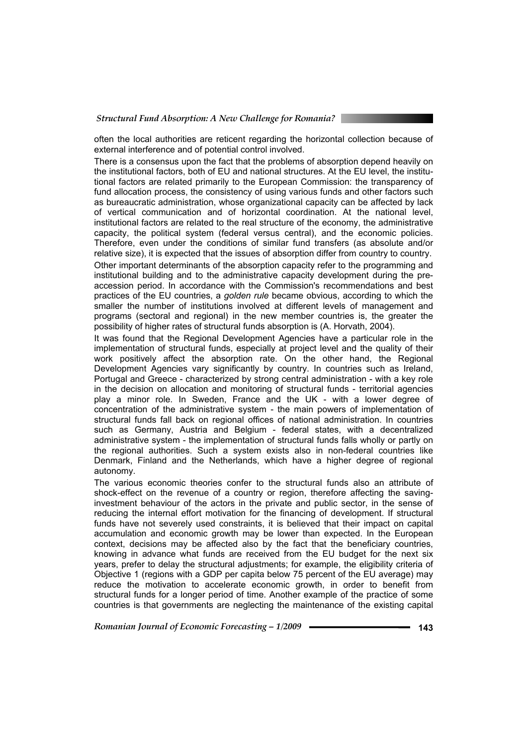often the local authorities are reticent regarding the horizontal collection because of external interference and of potential control involved.

There is a consensus upon the fact that the problems of absorption depend heavily on the institutional factors, both of EU and national structures. At the EU level, the institutional factors are related primarily to the European Commission: the transparency of fund allocation process, the consistency of using various funds and other factors such as bureaucratic administration, whose organizational capacity can be affected by lack of vertical communication and of horizontal coordination. At the national level, institutional factors are related to the real structure of the economy, the administrative capacity, the political system (federal versus central), and the economic policies. Therefore, even under the conditions of similar fund transfers (as absolute and/or relative size), it is expected that the issues of absorption differ from country to country. Other important determinants of the absorption capacity refer to the programming and institutional building and to the administrative capacity development during the preaccession period. In accordance with the Commission's recommendations and best practices of the EU countries, a *golden rule* became obvious, according to which the smaller the number of institutions involved at different levels of management and programs (sectoral and regional) in the new member countries is, the greater the possibility of higher rates of structural funds absorption is (A. Horvath, 2004).

It was found that the Regional Development Agencies have a particular role in the implementation of structural funds, especially at project level and the quality of their work positively affect the absorption rate. On the other hand, the Regional Development Agencies vary significantly by country. In countries such as Ireland, Portugal and Greece - characterized by strong central administration - with a key role in the decision on allocation and monitoring of structural funds - territorial agencies play a minor role. In Sweden, France and the UK - with a lower degree of concentration of the administrative system - the main powers of implementation of structural funds fall back on regional offices of national administration. In countries such as Germany, Austria and Belgium - federal states, with a decentralized administrative system - the implementation of structural funds falls wholly or partly on the regional authorities. Such a system exists also in non-federal countries like Denmark, Finland and the Netherlands, which have a higher degree of regional autonomy.

The various economic theories confer to the structural funds also an attribute of shock-effect on the revenue of a country or region, therefore affecting the savinginvestment behaviour of the actors in the private and public sector, in the sense of reducing the internal effort motivation for the financing of development. If structural funds have not severely used constraints, it is believed that their impact on capital accumulation and economic growth may be lower than expected. In the European context, decisions may be affected also by the fact that the beneficiary countries, knowing in advance what funds are received from the EU budget for the next six years, prefer to delay the structural adjustments; for example, the eligibility criteria of Objective 1 (regions with a GDP per capita below 75 percent of the EU average) may reduce the motivation to accelerate economic growth, in order to benefit from structural funds for a longer period of time. Another example of the practice of some countries is that governments are neglecting the maintenance of the existing capital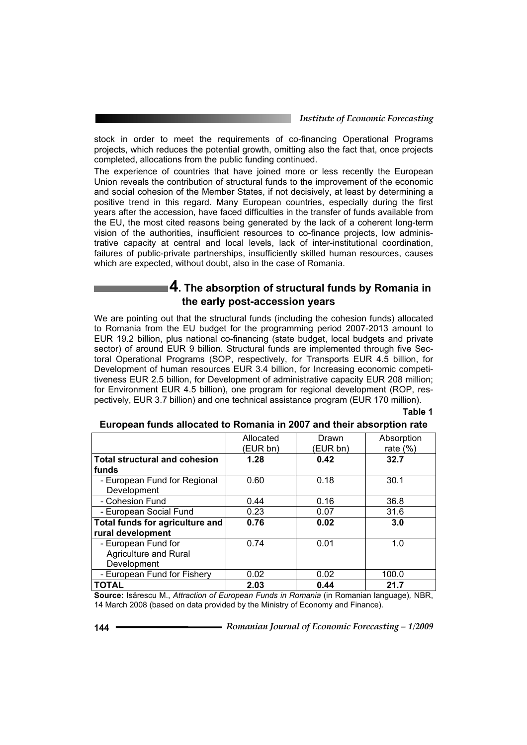stock in order to meet the requirements of co-financing Operational Programs projects, which reduces the potential growth, omitting also the fact that, once projects completed, allocations from the public funding continued.

The experience of countries that have joined more or less recently the European Union reveals the contribution of structural funds to the improvement of the economic and social cohesion of the Member States, if not decisively, at least by determining a positive trend in this regard. Many European countries, especially during the first years after the accession, have faced difficulties in the transfer of funds available from the EU, the most cited reasons being generated by the lack of a coherent long-term vision of the authorities, insufficient resources to co-finance projects, low administrative capacity at central and local levels, lack of inter-institutional coordination, failures of public-private partnerships, insufficiently skilled human resources, causes which are expected, without doubt, also in the case of Romania.

## **4. The absorption of structural funds by Romania in the early post-accession years**

We are pointing out that the structural funds (including the cohesion funds) allocated to Romania from the EU budget for the programming period 2007-2013 amount to EUR 19.2 billion, plus national co-financing (state budget, local budgets and private sector) of around EUR 9 billion. Structural funds are implemented through five Sectoral Operational Programs (SOP, respectively, for Transports EUR 4.5 billion, for Development of human resources EUR 3.4 billion, for Increasing economic competitiveness EUR 2.5 billion, for Development of administrative capacity EUR 208 million; for Environment EUR 4.5 billion), one program for regional development (ROP, respectively, EUR 3.7 billion) and one technical assistance program (EUR 170 million).

#### **Table 1**

|                                      | Allocated | Drawn    | Absorption  |  |  |  |  |
|--------------------------------------|-----------|----------|-------------|--|--|--|--|
|                                      | (EUR bn)  | (EUR bn) | rate $(\%)$ |  |  |  |  |
| <b>Total structural and cohesion</b> | 1.28      | 0.42     | 32.7        |  |  |  |  |
| funds                                |           |          |             |  |  |  |  |
| - European Fund for Regional         | 0.60      | 0.18     | 30.1        |  |  |  |  |
| Development                          |           |          |             |  |  |  |  |
| - Cohesion Fund                      | 0.44      | 0.16     | 36.8        |  |  |  |  |
| - European Social Fund               | 0.23      | 0.07     | 31.6        |  |  |  |  |
| Total funds for agriculture and      | 0.76      | 0.02     | 3.0         |  |  |  |  |
| rural development                    |           |          |             |  |  |  |  |
| - European Fund for                  | 0.74      | 0.01     | 1.0         |  |  |  |  |
| Agriculture and Rural                |           |          |             |  |  |  |  |
| Development                          |           |          |             |  |  |  |  |
| - European Fund for Fishery          | 0.02      | 0.02     | 100.0       |  |  |  |  |
| <b>TOTAL</b>                         | 2.03      | 0.44     | 21.7        |  |  |  |  |

#### **European funds allocated to Romania in 2007 and their absorption rate**

**Source:** Isărescu M., *Attraction of European Funds in Romania* (in Romanian language)*,* NBR, 14 March 2008 (based on data provided by the Ministry of Economy and Finance).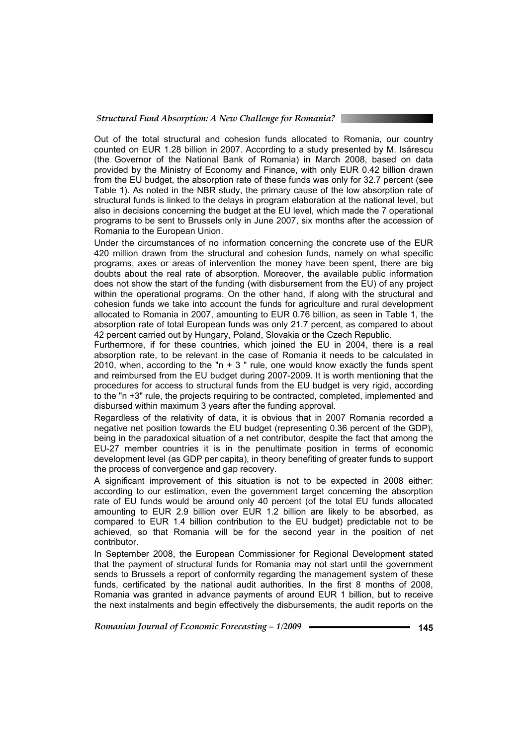Out of the total structural and cohesion funds allocated to Romania, our country counted on EUR 1.28 billion in 2007. According to a study presented by M. Isărescu (the Governor of the National Bank of Romania) in March 2008, based on data provided by the Ministry of Economy and Finance, with only EUR 0.42 billion drawn from the EU budget, the absorption rate of these funds was only for 32.7 percent (see Table 1). As noted in the NBR study, the primary cause of the low absorption rate of structural funds is linked to the delays in program elaboration at the national level, but also in decisions concerning the budget at the EU level, which made the 7 operational programs to be sent to Brussels only in June 2007, six months after the accession of Romania to the European Union.

Under the circumstances of no information concerning the concrete use of the EUR 420 million drawn from the structural and cohesion funds, namely on what specific programs, axes or areas of intervention the money have been spent, there are big doubts about the real rate of absorption. Moreover, the available public information does not show the start of the funding (with disbursement from the EU) of any project within the operational programs. On the other hand, if along with the structural and cohesion funds we take into account the funds for agriculture and rural development allocated to Romania in 2007, amounting to EUR 0.76 billion, as seen in Table 1, the absorption rate of total European funds was only 21.7 percent, as compared to about 42 percent carried out by Hungary, Poland, Slovakia or the Czech Republic.

Furthermore, if for these countries, which joined the EU in 2004, there is a real absorption rate, to be relevant in the case of Romania it needs to be calculated in 2010, when, according to the "n  $+$  3 " rule, one would know exactly the funds spent and reimbursed from the EU budget during 2007-2009. It is worth mentioning that the procedures for access to structural funds from the EU budget is very rigid, according to the "n +3" rule, the projects requiring to be contracted, completed, implemented and disbursed within maximum 3 years after the funding approval.

Regardless of the relativity of data, it is obvious that in 2007 Romania recorded a negative net position towards the EU budget (representing 0.36 percent of the GDP), being in the paradoxical situation of a net contributor, despite the fact that among the EU-27 member countries it is in the penultimate position in terms of economic development level (as GDP per capita), in theory benefiting of greater funds to support the process of convergence and gap recovery.

A significant improvement of this situation is not to be expected in 2008 either: according to our estimation, even the government target concerning the absorption rate of EU funds would be around only 40 percent (of the total EU funds allocated amounting to EUR 2.9 billion over EUR 1.2 billion are likely to be absorbed, as compared to EUR 1.4 billion contribution to the EU budget) predictable not to be achieved, so that Romania will be for the second year in the position of net contributor.

In September 2008, the European Commissioner for Regional Development stated that the payment of structural funds for Romania may not start until the government sends to Brussels a report of conformity regarding the management system of these funds, certificated by the national audit authorities. In the first 8 months of 2008, Romania was granted in advance payments of around EUR 1 billion, but to receive the next instalments and begin effectively the disbursements, the audit reports on the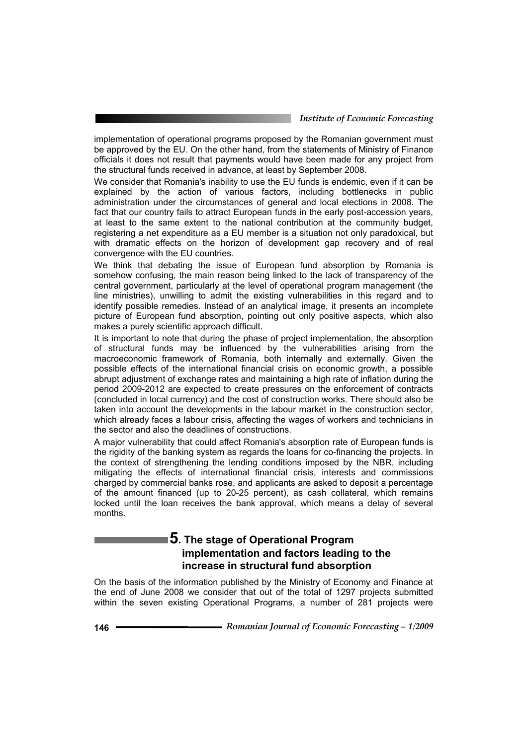implementation of operational programs proposed by the Romanian government must be approved by the EU. On the other hand, from the statements of Ministry of Finance officials it does not result that payments would have been made for any project from the structural funds received in advance, at least by September 2008.

We consider that Romania's inability to use the EU funds is endemic, even if it can be explained by the action of various factors, including bottlenecks in public administration under the circumstances of general and local elections in 2008. The fact that our country fails to attract European funds in the early post-accession years, at least to the same extent to the national contribution at the community budget, registering a net expenditure as a EU member is a situation not only paradoxical, but with dramatic effects on the horizon of development gap recovery and of real convergence with the EU countries.

We think that debating the issue of European fund absorption by Romania is somehow confusing, the main reason being linked to the lack of transparency of the central government, particularly at the level of operational program management (the line ministries), unwilling to admit the existing vulnerabilities in this regard and to identify possible remedies. Instead of an analytical image, it presents an incomplete picture of European fund absorption, pointing out only positive aspects, which also makes a purely scientific approach difficult.

It is important to note that during the phase of project implementation, the absorption of structural funds may be influenced by the vulnerabilities arising from the macroeconomic framework of Romania, both internally and externally. Given the possible effects of the international financial crisis on economic growth, a possible abrupt adjustment of exchange rates and maintaining a high rate of inflation during the period 2009-2012 are expected to create pressures on the enforcement of contracts (concluded in local currency) and the cost of construction works. There should also be taken into account the developments in the labour market in the construction sector, which already faces a labour crisis, affecting the wages of workers and technicians in the sector and also the deadlines of constructions.

A major vulnerability that could affect Romania's absorption rate of European funds is the rigidity of the banking system as regards the loans for co-financing the projects. In the context of strengthening the lending conditions imposed by the NBR, including mitigating the effects of international financial crisis, interests and commissions charged by commercial banks rose, and applicants are asked to deposit a percentage of the amount financed (up to 20-25 percent), as cash collateral, which remains locked until the loan receives the bank approval, which means a delay of several months.

# **5. The stage of Operational Program implementation and factors leading to the increase in structural fund absorption**

On the basis of the information published by the Ministry of Economy and Finance at the end of June 2008 we consider that out of the total of 1297 projects submitted within the seven existing Operational Programs, a number of 281 projects were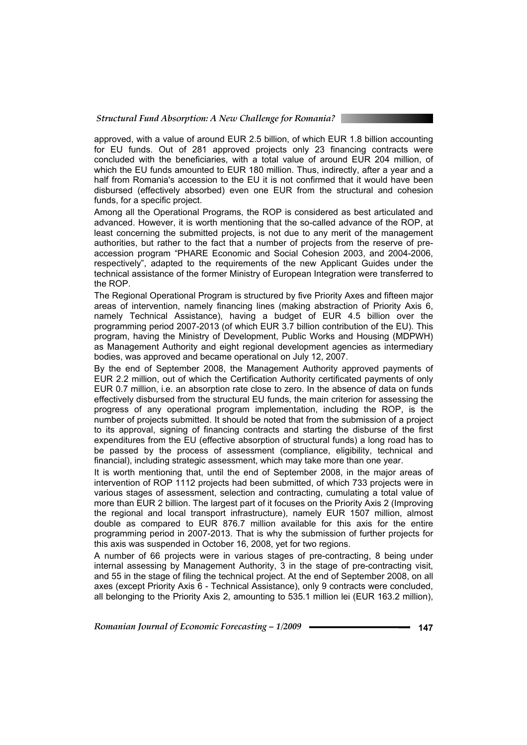approved, with a value of around EUR 2.5 billion, of which EUR 1.8 billion accounting for EU funds. Out of 281 approved projects only 23 financing contracts were concluded with the beneficiaries, with a total value of around EUR 204 million, of which the EU funds amounted to EUR 180 million. Thus, indirectly, after a year and a half from Romania's accession to the EU it is not confirmed that it would have been disbursed (effectively absorbed) even one EUR from the structural and cohesion funds, for a specific project.

Among all the Operational Programs, the ROP is considered as best articulated and advanced. However, it is worth mentioning that the so-called advance of the ROP, at least concerning the submitted projects, is not due to any merit of the management authorities, but rather to the fact that a number of projects from the reserve of preaccession program "PHARE Economic and Social Cohesion 2003, and 2004-2006, respectively", adapted to the requirements of the new Applicant Guides under the technical assistance of the former Ministry of European Integration were transferred to the ROP.

The Regional Operational Program is structured by five Priority Axes and fifteen major areas of intervention, namely financing lines (making abstraction of Priority Axis 6, namely Technical Assistance), having a budget of EUR 4.5 billion over the programming period 2007-2013 (of which EUR 3.7 billion contribution of the EU). This program, having the Ministry of Development, Public Works and Housing (MDPWH) as Management Authority and eight regional development agencies as intermediary bodies, was approved and became operational on July 12, 2007.

By the end of September 2008, the Management Authority approved payments of EUR 2.2 million, out of which the Certification Authority certificated payments of only EUR 0.7 million, i.e. an absorption rate close to zero. In the absence of data on funds effectively disbursed from the structural EU funds, the main criterion for assessing the progress of any operational program implementation, including the ROP, is the number of projects submitted. It should be noted that from the submission of a project to its approval, signing of financing contracts and starting the disburse of the first expenditures from the EU (effective absorption of structural funds) a long road has to be passed by the process of assessment (compliance, eligibility, technical and financial), including strategic assessment, which may take more than one year.

It is worth mentioning that, until the end of September 2008, in the major areas of intervention of ROP 1112 projects had been submitted, of which 733 projects were in various stages of assessment, selection and contracting, cumulating a total value of more than EUR 2 billion. The largest part of it focuses on the Priority Axis 2 (Improving the regional and local transport infrastructure), namely EUR 1507 million, almost double as compared to EUR 876.7 million available for this axis for the entire programming period in 2007-2013. That is why the submission of further projects for this axis was suspended in October 16, 2008, yet for two regions.

A number of 66 projects were in various stages of pre-contracting, 8 being under internal assessing by Management Authority, 3 in the stage of pre-contracting visit, and 55 in the stage of filing the technical project. At the end of September 2008, on all axes (except Priority Axis 6 - Technical Assistance), only 9 contracts were concluded, all belonging to the Priority Axis 2, amounting to 535.1 million lei (EUR 163.2 million),

*Romanian Journal of Economic Forecasting – 1/2009* **- • • • • • • • • • • 147**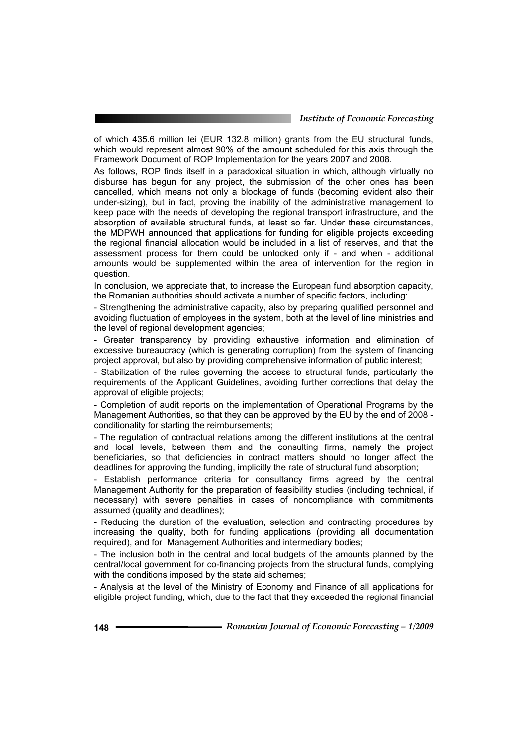of which 435.6 million lei (EUR 132.8 million) grants from the EU structural funds, which would represent almost 90% of the amount scheduled for this axis through the Framework Document of ROP Implementation for the years 2007 and 2008.

As follows, ROP finds itself in a paradoxical situation in which, although virtually no disburse has begun for any project, the submission of the other ones has been cancelled, which means not only a blockage of funds (becoming evident also their under-sizing), but in fact, proving the inability of the administrative management to keep pace with the needs of developing the regional transport infrastructure, and the absorption of available structural funds, at least so far. Under these circumstances, the MDPWH announced that applications for funding for eligible projects exceeding the regional financial allocation would be included in a list of reserves, and that the assessment process for them could be unlocked only if - and when - additional amounts would be supplemented within the area of intervention for the region in question.

In conclusion, we appreciate that, to increase the European fund absorption capacity, the Romanian authorities should activate a number of specific factors, including:

- Strengthening the administrative capacity, also by preparing qualified personnel and avoiding fluctuation of employees in the system, both at the level of line ministries and the level of regional development agencies;

- Greater transparency by providing exhaustive information and elimination of excessive bureaucracy (which is generating corruption) from the system of financing project approval, but also by providing comprehensive information of public interest;

- Stabilization of the rules governing the access to structural funds, particularly the requirements of the Applicant Guidelines, avoiding further corrections that delay the approval of eligible projects;

- Completion of audit reports on the implementation of Operational Programs by the Management Authorities, so that they can be approved by the EU by the end of 2008 conditionality for starting the reimbursements;

- The regulation of contractual relations among the different institutions at the central and local levels, between them and the consulting firms, namely the project beneficiaries, so that deficiencies in contract matters should no longer affect the deadlines for approving the funding, implicitly the rate of structural fund absorption;

- Establish performance criteria for consultancy firms agreed by the central Management Authority for the preparation of feasibility studies (including technical, if necessary) with severe penalties in cases of noncompliance with commitments assumed (quality and deadlines);

- Reducing the duration of the evaluation, selection and contracting procedures by increasing the quality, both for funding applications (providing all documentation required), and for Management Authorities and intermediary bodies;

- The inclusion both in the central and local budgets of the amounts planned by the central/local government for co-financing projects from the structural funds, complying with the conditions imposed by the state aid schemes;

- Analysis at the level of the Ministry of Economy and Finance of all applications for eligible project funding, which, due to the fact that they exceeded the regional financial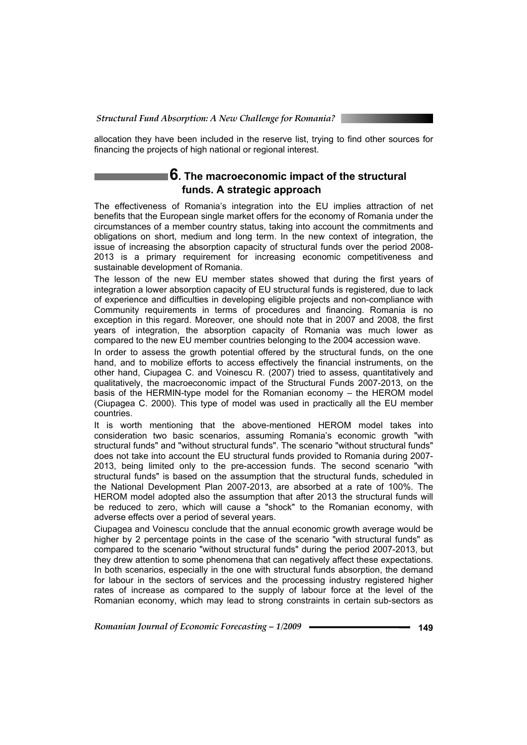allocation they have been included in the reserve list, trying to find other sources for financing the projects of high national or regional interest.

## **6. The macroeconomic impact of the structural funds. A strategic approach**

The effectiveness of Romania's integration into the EU implies attraction of net benefits that the European single market offers for the economy of Romania under the circumstances of a member country status, taking into account the commitments and obligations on short, medium and long term. In the new context of integration, the issue of increasing the absorption capacity of structural funds over the period 2008- 2013 is a primary requirement for increasing economic competitiveness and sustainable development of Romania.

The lesson of the new EU member states showed that during the first years of integration a lower absorption capacity of EU structural funds is registered, due to lack of experience and difficulties in developing eligible projects and non-compliance with Community requirements in terms of procedures and financing. Romania is no exception in this regard. Moreover, one should note that in 2007 and 2008, the first years of integration, the absorption capacity of Romania was much lower as compared to the new EU member countries belonging to the 2004 accession wave.

In order to assess the growth potential offered by the structural funds, on the one hand, and to mobilize efforts to access effectively the financial instruments, on the other hand, Ciupagea C. and Voinescu R. (2007) tried to assess, quantitatively and qualitatively, the macroeconomic impact of the Structural Funds 2007-2013, on the basis of the HERMIN-type model for the Romanian economy – the HEROM model (Ciupagea C. 2000). This type of model was used in practically all the EU member countries.

It is worth mentioning that the above-mentioned HEROM model takes into consideration two basic scenarios, assuming Romania's economic growth "with structural funds" and "without structural funds". The scenario "without structural funds" does not take into account the EU structural funds provided to Romania during 2007- 2013, being limited only to the pre-accession funds. The second scenario "with structural funds" is based on the assumption that the structural funds, scheduled in the National Development Plan 2007-2013, are absorbed at a rate of 100%. The HEROM model adopted also the assumption that after 2013 the structural funds will be reduced to zero, which will cause a "shock" to the Romanian economy, with adverse effects over a period of several years.

Ciupagea and Voinescu conclude that the annual economic growth average would be higher by 2 percentage points in the case of the scenario "with structural funds" as compared to the scenario "without structural funds" during the period 2007-2013, but they drew attention to some phenomena that can negatively affect these expectations. In both scenarios, especially in the one with structural funds absorption, the demand for labour in the sectors of services and the processing industry registered higher rates of increase as compared to the supply of labour force at the level of the Romanian economy, which may lead to strong constraints in certain sub-sectors as

*Romanian Journal of Economic Forecasting – 1/2009* **- • • • • • • • • • • 149 149**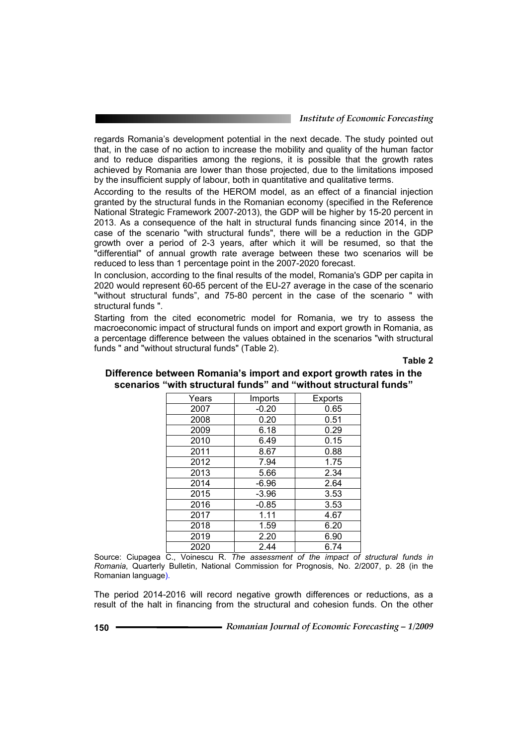regards Romania's development potential in the next decade. The study pointed out that, in the case of no action to increase the mobility and quality of the human factor and to reduce disparities among the regions, it is possible that the growth rates achieved by Romania are lower than those projected, due to the limitations imposed by the insufficient supply of labour, both in quantitative and qualitative terms.

According to the results of the HEROM model, as an effect of a financial injection granted by the structural funds in the Romanian economy (specified in the Reference National Strategic Framework 2007-2013), the GDP will be higher by 15-20 percent in 2013. As a consequence of the halt in structural funds financing since 2014, in the case of the scenario "with structural funds", there will be a reduction in the GDP growth over a period of 2-3 years, after which it will be resumed, so that the "differential" of annual growth rate average between these two scenarios will be reduced to less than 1 percentage point in the 2007-2020 forecast.

In conclusion, according to the final results of the model, Romania's GDP per capita in 2020 would represent 60-65 percent of the EU-27 average in the case of the scenario "without structural funds", and 75-80 percent in the case of the scenario " with structural funds ".

Starting from the cited econometric model for Romania, we try to assess the macroeconomic impact of structural funds on import and export growth in Romania, as a percentage difference between the values obtained in the scenarios "with structural funds " and "without structural funds" (Table 2).

**Table 2** 

| Years | Imports | Exports |  |
|-------|---------|---------|--|
| 2007  | $-0.20$ | 0.65    |  |
| 2008  | 0.20    | 0.51    |  |
| 2009  | 6.18    | 0.29    |  |
| 2010  | 6.49    | 0.15    |  |
| 2011  | 8.67    | 0.88    |  |
| 2012  | 7.94    | 1.75    |  |
| 2013  | 5.66    | 2.34    |  |
| 2014  | $-6.96$ | 2.64    |  |
| 2015  | $-3.96$ | 3.53    |  |
| 2016  | $-0.85$ | 3.53    |  |
| 2017  | 1.11    | 4.67    |  |
| 2018  | 1.59    | 6.20    |  |
| 2019  | 2.20    | 6.90    |  |
| 2020  | 2.44    | 6.74    |  |

### **Difference between Romania's import and export growth rates in the scenarios "with structural funds" and "without structural funds"**

Source: Ciupagea C., Voinescu R. *The assessment of the impact of structural funds in Romania*, Quarterly Bulletin, National Commission for Prognosis, No. 2/2007, p. 28 (in the Romanian language).

The period 2014-2016 will record negative growth differences or reductions, as a result of the halt in financing from the structural and cohesion funds. On the other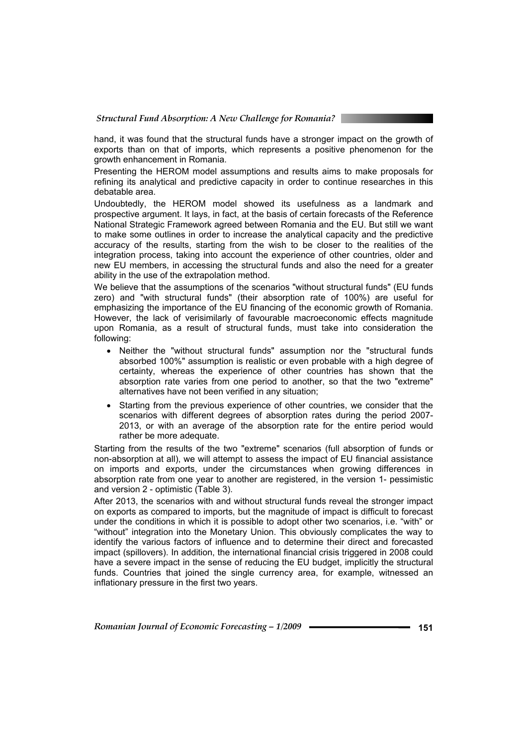hand, it was found that the structural funds have a stronger impact on the growth of exports than on that of imports, which represents a positive phenomenon for the growth enhancement in Romania.

Presenting the HEROM model assumptions and results aims to make proposals for refining its analytical and predictive capacity in order to continue researches in this debatable area.

Undoubtedly, the HEROM model showed its usefulness as a landmark and prospective argument. It lays, in fact, at the basis of certain forecasts of the Reference National Strategic Framework agreed between Romania and the EU. But still we want to make some outlines in order to increase the analytical capacity and the predictive accuracy of the results, starting from the wish to be closer to the realities of the integration process, taking into account the experience of other countries, older and new EU members, in accessing the structural funds and also the need for a greater ability in the use of the extrapolation method.

We believe that the assumptions of the scenarios "without structural funds" (EU funds zero) and "with structural funds" (their absorption rate of 100%) are useful for emphasizing the importance of the EU financing of the economic growth of Romania. However, the lack of verisimilarly of favourable macroeconomic effects magnitude upon Romania, as a result of structural funds, must take into consideration the following:

- Neither the "without structural funds" assumption nor the "structural funds absorbed 100%" assumption is realistic or even probable with a high degree of certainty, whereas the experience of other countries has shown that the absorption rate varies from one period to another, so that the two "extreme" alternatives have not been verified in any situation;
- Starting from the previous experience of other countries, we consider that the scenarios with different degrees of absorption rates during the period 2007- 2013, or with an average of the absorption rate for the entire period would rather be more adequate.

Starting from the results of the two "extreme" scenarios (full absorption of funds or non-absorption at all), we will attempt to assess the impact of EU financial assistance on imports and exports, under the circumstances when growing differences in absorption rate from one year to another are registered, in the version 1- pessimistic and version 2 - optimistic (Table 3).

After 2013, the scenarios with and without structural funds reveal the stronger impact on exports as compared to imports, but the magnitude of impact is difficult to forecast under the conditions in which it is possible to adopt other two scenarios, i.e. "with" or "without" integration into the Monetary Union. This obviously complicates the way to identify the various factors of influence and to determine their direct and forecasted impact (spillovers). In addition, the international financial crisis triggered in 2008 could have a severe impact in the sense of reducing the EU budget, implicitly the structural funds. Countries that joined the single currency area, for example, witnessed an inflationary pressure in the first two years.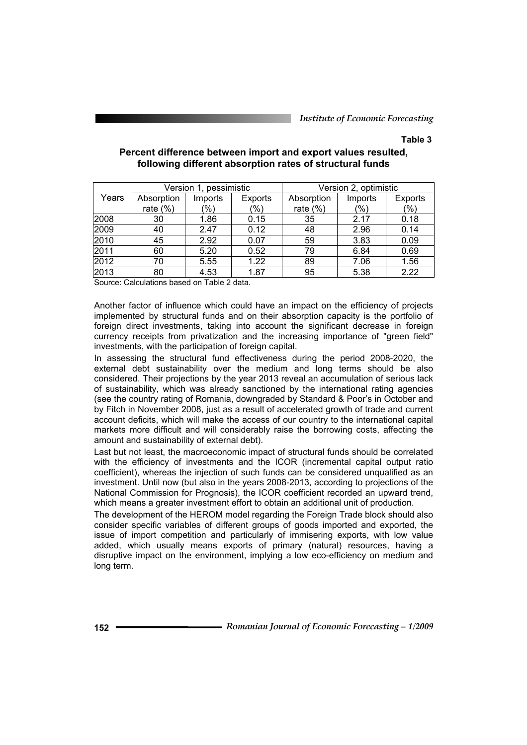#### **Table 3**

|       | Version 1, pessimistic |               | Version 2, optimistic |             |         |         |
|-------|------------------------|---------------|-----------------------|-------------|---------|---------|
| Years | Absorption             | Imports       | Exports               | Absorption  | Imports | Exports |
|       | rate $(\%)$            | $\frac{1}{2}$ | (%)                   | rate $(\%)$ | (%)     | (9/0)   |
| 2008  | 30                     | 1.86          | 0.15                  | 35          | 2.17    | 0.18    |
| 2009  | 40                     | 2.47          | 0.12                  | 48          | 2.96    | 0.14    |
| 2010  | 45                     | 2.92          | 0.07                  | 59          | 3.83    | 0.09    |
| 2011  | 60                     | 5.20          | 0.52                  | 79          | 6.84    | 0.69    |
| 2012  | 70                     | 5.55          | 1.22                  | 89          | 7.06    | 1.56    |
| 2013  | 80                     | 4.53          | 1.87                  | 95          | 5.38    | 2.22    |

#### **Percent difference between import and export values resulted, following different absorption rates of structural funds**

Source: Calculations based on Table 2 data.

Another factor of influence which could have an impact on the efficiency of projects implemented by structural funds and on their absorption capacity is the portfolio of foreign direct investments, taking into account the significant decrease in foreign currency receipts from privatization and the increasing importance of "green field" investments, with the participation of foreign capital.

In assessing the structural fund effectiveness during the period 2008-2020, the external debt sustainability over the medium and long terms should be also considered. Their projections by the year 2013 reveal an accumulation of serious lack of sustainability, which was already sanctioned by the international rating agencies (see the country rating of Romania, downgraded by Standard & Poor's in October and by Fitch in November 2008, just as a result of accelerated growth of trade and current account deficits, which will make the access of our country to the international capital markets more difficult and will considerably raise the borrowing costs, affecting the amount and sustainability of external debt).

Last but not least, the macroeconomic impact of structural funds should be correlated with the efficiency of investments and the ICOR (incremental capital output ratio coefficient), whereas the injection of such funds can be considered unqualified as an investment. Until now (but also in the years 2008-2013, according to projections of the National Commission for Prognosis), the ICOR coefficient recorded an upward trend, which means a greater investment effort to obtain an additional unit of production.

The development of the HEROM model regarding the Foreign Trade block should also consider specific variables of different groups of goods imported and exported, the issue of import competition and particularly of immisering exports, with low value added, which usually means exports of primary (natural) resources, having a disruptive impact on the environment, implying a low eco-efficiency on medium and long term.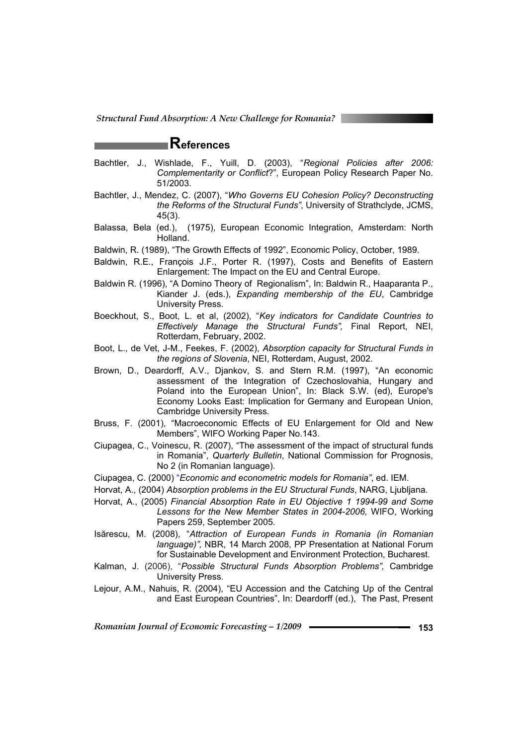# **References**

- Bachtler, J., Wishlade, F., Yuill, D. (2003), "*Regional Policies after 2006: Complementarity or Conflict*?", European Policy Research Paper No. 51/2003.
- Bachtler, J., Mendez, C. (2007), "*Who Governs EU Cohesion Policy? Deconstructing the Reforms of the Structural Funds"*, University of Strathclyde, JCMS, 45(3).
- Balassa, Bela (ed.), (1975), European Economic Integration, Amsterdam: North Holland.
- Baldwin, R. (1989), "The Growth Effects of 1992", Economic Policy, October, 1989.
- Baldwin, R.E., François J.F., Porter R. (1997), Costs and Benefits of Eastern Enlargement: The Impact on the EU and Central Europe.
- Baldwin R. (1996), "A Domino Theory of Regionalism", In: Baldwin R., Haaparanta P., Kiander J. (eds.), *Expanding membership of the EU*, Cambridge University Press.
- Boeckhout, S., Boot, L. et al, (2002), "*Key indicators for Candidate Countries to Effectively Manage the Structural Funds",* Final Report, NEI, Rotterdam, February, 2002.
- Boot, L., de Vet, J-M., Feekes, F. (2002), *Absorption capacity for Structural Funds in the regions of Slovenia*, NEI, Rotterdam, August, 2002.
- Brown, D., Deardorff, A.V., Djankov, S. and Stern R.M. (1997), "An economic assessment of the Integration of Czechoslovahia, Hungary and Poland into the European Union", In: Black S.W. (ed), Europe's Economy Looks East: Implication for Germany and European Union, Cambridge University Press.
- Bruss, F. (2001), "Macroeconomic Effects of EU Enlargement for Old and New Members", WIFO Working Paper No.143.
- Ciupagea, C., Voinescu, R. (2007), "The assessment of the impact of structural funds in Romania", *Quarterly Bulletin*, National Commission for Prognosis, No 2 (in Romanian language).
- Ciupagea, C. (2000) "*Economic and econometric models for Romania"*, ed. IEM.
- Horvat, A., (2004) *Absorption problems in the EU Structural Funds*, NARG, Ljubljana.
- Horvat, A., (2005) *Financial Absorption Rate in EU Objective 1 1994-99 and Some Lessons for the New Member States in 2004-2006,* WIFO, Working Papers 259, September 2005.
- Isărescu, M. (2008), "*Attraction of European Funds in Romania (in Romanian language)",* NBR, 14 March 2008, PP Presentation at National Forum for Sustainable Development and Environment Protection, Bucharest.
- Kalman, J. (2006), "*Possible Structural Funds Absorption Problems",* Cambridge University Press.
- Lejour, A.M., Nahuis, R. (2004), "EU Accession and the Catching Up of the Central and East European Countries", In: Deardorff (ed.), The Past, Present